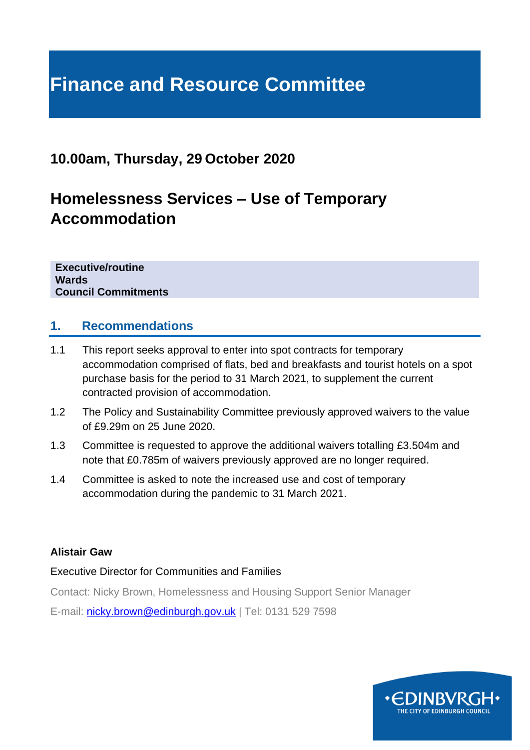# **Finance and Resource Committee**

# **10.00am, Thursday, 29 October 2020**

# **Homelessness Services – Use of Temporary Accommodation**

**Executive/routine Wards Council Commitments**

#### **1. Recommendations**

- 1.1 This report seeks approval to enter into spot contracts for temporary accommodation comprised of flats, bed and breakfasts and tourist hotels on a spot purchase basis for the period to 31 March 2021, to supplement the current contracted provision of accommodation.
- 1.2 The Policy and Sustainability Committee previously approved waivers to the value of £9.29m on 25 June 2020.
- 1.3 Committee is requested to approve the additional waivers totalling £3.504m and note that £0.785m of waivers previously approved are no longer required.
- 1.4 Committee is asked to note the increased use and cost of temporary accommodation during the pandemic to 31 March 2021.

#### **Alistair Gaw**

#### Executive Director for Communities and Families

Contact: Nicky Brown, Homelessness and Housing Support Senior Manager

E-mail: [nicky.brown@edinburgh.gov.uk](mailto:nicky.brown@edinburgh.gov.uk) | Tel: 0131 529 7598

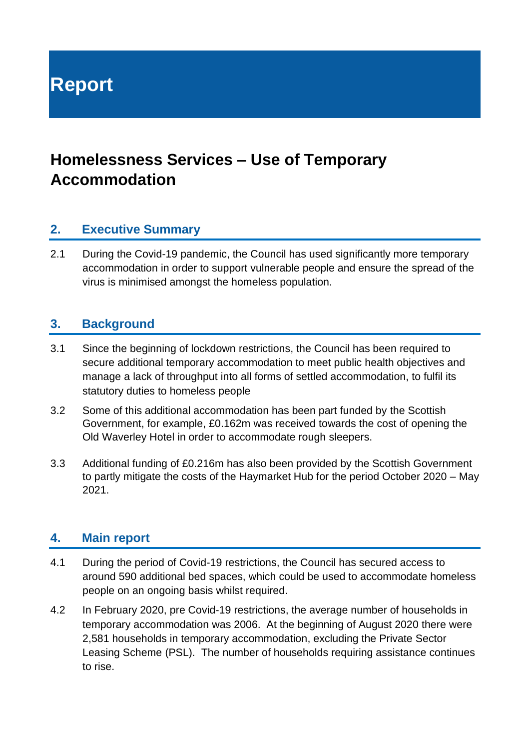**Report**

# **Homelessness Services – Use of Temporary Accommodation**

#### **2. Executive Summary**

2.1 During the Covid-19 pandemic, the Council has used significantly more temporary accommodation in order to support vulnerable people and ensure the spread of the virus is minimised amongst the homeless population.

#### **3. Background**

- 3.1 Since the beginning of lockdown restrictions, the Council has been required to secure additional temporary accommodation to meet public health objectives and manage a lack of throughput into all forms of settled accommodation, to fulfil its statutory duties to homeless people
- 3.2 Some of this additional accommodation has been part funded by the Scottish Government, for example, £0.162m was received towards the cost of opening the Old Waverley Hotel in order to accommodate rough sleepers.
- 3.3 Additional funding of £0.216m has also been provided by the Scottish Government to partly mitigate the costs of the Haymarket Hub for the period October 2020 – May 2021.

#### **4. Main report**

- 4.1 During the period of Covid-19 restrictions, the Council has secured access to around 590 additional bed spaces, which could be used to accommodate homeless people on an ongoing basis whilst required.
- 4.2 In February 2020, pre Covid-19 restrictions, the average number of households in temporary accommodation was 2006. At the beginning of August 2020 there were 2,581 households in temporary accommodation, excluding the Private Sector Leasing Scheme (PSL). The number of households requiring assistance continues to rise.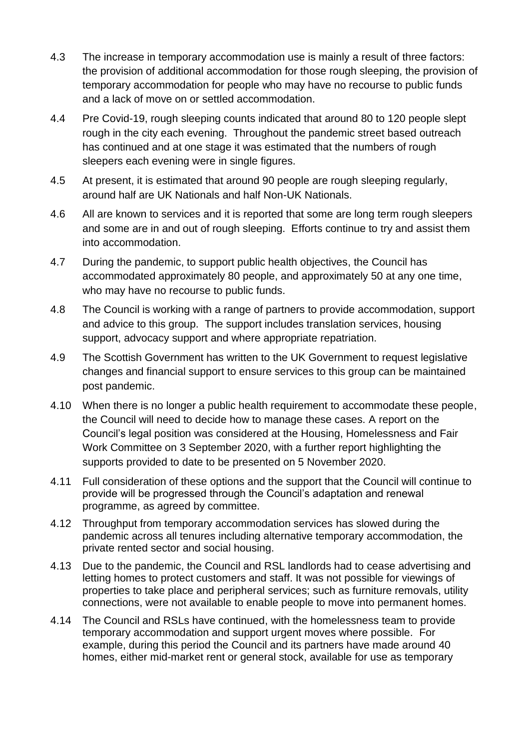- 4.3 The increase in temporary accommodation use is mainly a result of three factors: the provision of additional accommodation for those rough sleeping, the provision of temporary accommodation for people who may have no recourse to public funds and a lack of move on or settled accommodation.
- 4.4 Pre Covid-19, rough sleeping counts indicated that around 80 to 120 people slept rough in the city each evening. Throughout the pandemic street based outreach has continued and at one stage it was estimated that the numbers of rough sleepers each evening were in single figures.
- 4.5 At present, it is estimated that around 90 people are rough sleeping regularly, around half are UK Nationals and half Non-UK Nationals.
- 4.6 All are known to services and it is reported that some are long term rough sleepers and some are in and out of rough sleeping. Efforts continue to try and assist them into accommodation.
- 4.7 During the pandemic, to support public health objectives, the Council has accommodated approximately 80 people, and approximately 50 at any one time, who may have no recourse to public funds.
- 4.8 The Council is working with a range of partners to provide accommodation, support and advice to this group. The support includes translation services, housing support, advocacy support and where appropriate repatriation.
- 4.9 The Scottish Government has written to the UK Government to request legislative changes and financial support to ensure services to this group can be maintained post pandemic.
- 4.10 When there is no longer a public health requirement to accommodate these people, the Council will need to decide how to manage these cases. A report on the Council's legal position was considered at the Housing, Homelessness and Fair Work Committee on 3 September 2020, with a further report highlighting the supports provided to date to be presented on 5 November 2020.
- 4.11 Full consideration of these options and the support that the Council will continue to provide will be progressed through the Council's adaptation and renewal programme, as agreed by committee.
- 4.12 Throughput from temporary accommodation services has slowed during the pandemic across all tenures including alternative temporary accommodation, the private rented sector and social housing.
- 4.13 Due to the pandemic, the Council and RSL landlords had to cease advertising and letting homes to protect customers and staff. It was not possible for viewings of properties to take place and peripheral services; such as furniture removals, utility connections, were not available to enable people to move into permanent homes.
- 4.14 The Council and RSLs have continued, with the homelessness team to provide temporary accommodation and support urgent moves where possible. For example, during this period the Council and its partners have made around 40 homes, either mid-market rent or general stock, available for use as temporary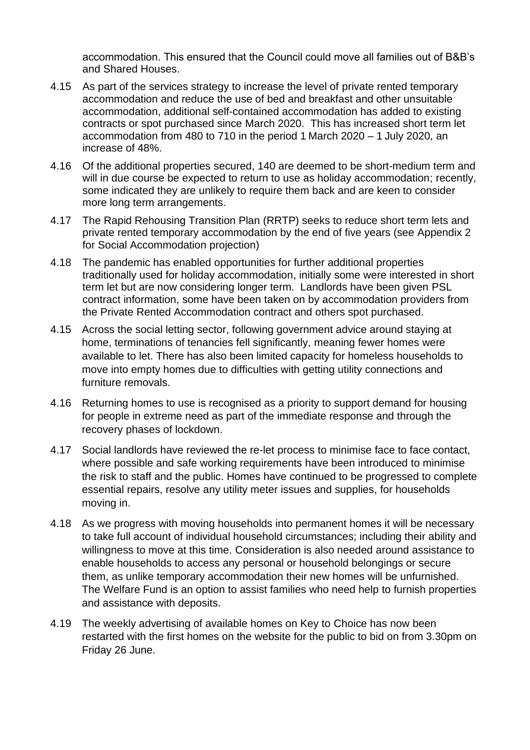accommodation. This ensured that the Council could move all families out of B&B's and Shared Houses.

- 4.15 As part of the services strategy to increase the level of private rented temporary accommodation and reduce the use of bed and breakfast and other unsuitable accommodation, additional self-contained accommodation has added to existing contracts or spot purchased since March 2020. This has increased short term let accommodation from 480 to 710 in the period 1 March 2020 – 1 July 2020, an increase of 48%.
- 4.16 Of the additional properties secured, 140 are deemed to be short-medium term and will in due course be expected to return to use as holiday accommodation; recently, some indicated they are unlikely to require them back and are keen to consider more long term arrangements.
- 4.17 The Rapid Rehousing Transition Plan (RRTP) seeks to reduce short term lets and private rented temporary accommodation by the end of five years (see Appendix 2 for Social Accommodation projection)
- 4.18 The pandemic has enabled opportunities for further additional properties traditionally used for holiday accommodation, initially some were interested in short term let but are now considering longer term. Landlords have been given PSL contract information, some have been taken on by accommodation providers from the Private Rented Accommodation contract and others spot purchased.
- 4.15 Across the social letting sector, following government advice around staying at home, terminations of tenancies fell significantly, meaning fewer homes were available to let. There has also been limited capacity for homeless households to move into empty homes due to difficulties with getting utility connections and furniture removals.
- 4.16 Returning homes to use is recognised as a priority to support demand for housing for people in extreme need as part of the immediate response and through the recovery phases of lockdown.
- 4.17 Social landlords have reviewed the re-let process to minimise face to face contact, where possible and safe working requirements have been introduced to minimise the risk to staff and the public. Homes have continued to be progressed to complete essential repairs, resolve any utility meter issues and supplies, for households moving in.
- 4.18 As we progress with moving households into permanent homes it will be necessary to take full account of individual household circumstances; including their ability and willingness to move at this time. Consideration is also needed around assistance to enable households to access any personal or household belongings or secure them, as unlike temporary accommodation their new homes will be unfurnished. The Welfare Fund is an option to assist families who need help to furnish properties and assistance with deposits.
- 4.19 The weekly advertising of available homes on Key to Choice has now been restarted with the first homes on the website for the public to bid on from 3.30pm on Friday 26 June.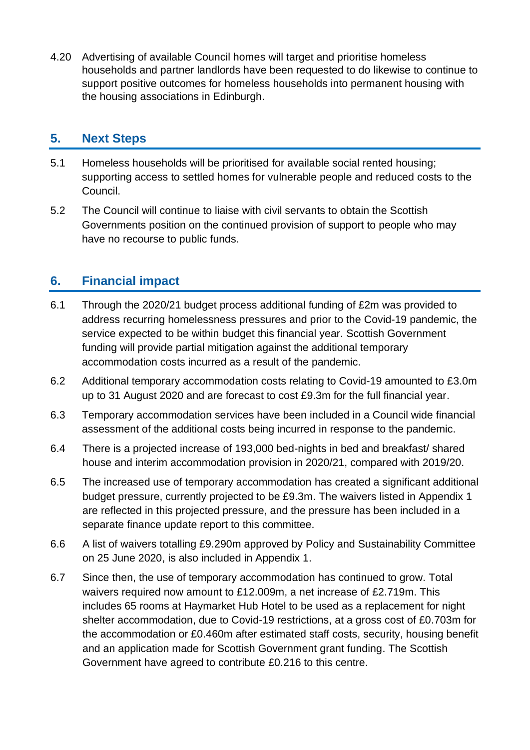4.20 Advertising of available Council homes will target and prioritise homeless households and partner landlords have been requested to do likewise to continue to support positive outcomes for homeless households into permanent housing with the housing associations in Edinburgh.

### **5. Next Steps**

- 5.1 Homeless households will be prioritised for available social rented housing; supporting access to settled homes for vulnerable people and reduced costs to the Council.
- 5.2 The Council will continue to liaise with civil servants to obtain the Scottish Governments position on the continued provision of support to people who may have no recourse to public funds.

# **6. Financial impact**

- 6.1 Through the 2020/21 budget process additional funding of £2m was provided to address recurring homelessness pressures and prior to the Covid-19 pandemic, the service expected to be within budget this financial year. Scottish Government funding will provide partial mitigation against the additional temporary accommodation costs incurred as a result of the pandemic.
- 6.2 Additional temporary accommodation costs relating to Covid-19 amounted to £3.0m up to 31 August 2020 and are forecast to cost £9.3m for the full financial year.
- 6.3 Temporary accommodation services have been included in a Council wide financial assessment of the additional costs being incurred in response to the pandemic.
- 6.4 There is a projected increase of 193,000 bed-nights in bed and breakfast/ shared house and interim accommodation provision in 2020/21, compared with 2019/20.
- 6.5 The increased use of temporary accommodation has created a significant additional budget pressure, currently projected to be £9.3m. The waivers listed in Appendix 1 are reflected in this projected pressure, and the pressure has been included in a separate finance update report to this committee.
- 6.6 A list of waivers totalling £9.290m approved by Policy and Sustainability Committee on 25 June 2020, is also included in Appendix 1.
- 6.7 Since then, the use of temporary accommodation has continued to grow. Total waivers required now amount to £12.009m, a net increase of £2.719m. This includes 65 rooms at Haymarket Hub Hotel to be used as a replacement for night shelter accommodation, due to Covid-19 restrictions, at a gross cost of £0.703m for the accommodation or £0.460m after estimated staff costs, security, housing benefit and an application made for Scottish Government grant funding. The Scottish Government have agreed to contribute £0.216 to this centre.